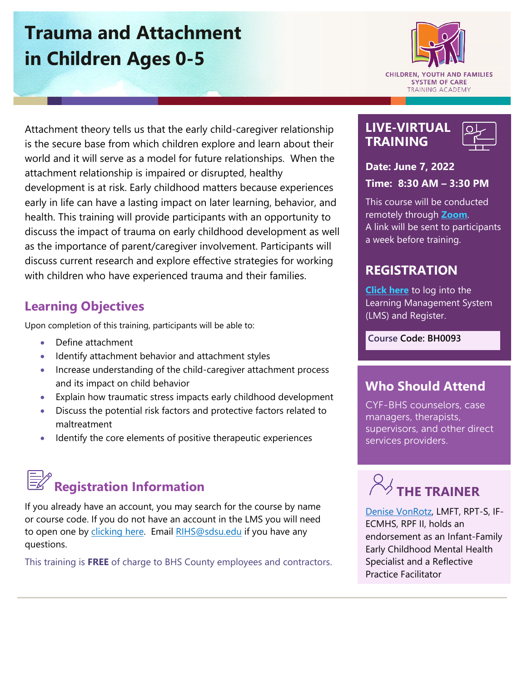## **Trauma and Attachment in Children Ages 0-5**

**CHILDREN, YOUTH AND FAMILIES SYSTEM OF CARE** 

**TRAINING ACADEMY** 

**LIVE-VIRTUAL TRAINING**



**Date: June 7, 2022** 

**Time: 8:30 AM – 3:30 PM**

This course will be conducted remotely through **[Zoom](https://zoom.us/)**. A link will be sent to participants a week before training.

## **REGISTRATION**

**[Click here](https://academy.sumtotal.host/)** to log into the Learning Management System (LMS) and Register.

**Course Code: BH0093**

## **Who Should Attend**

CYF-BHS counselors, case managers, therapists, supervisors, and other direct services providers.

# $\%$  THE TRAINER

[Denise VonRotz,](https://theacademy.sdsu.edu/rihsbios/denise-vonrotz/) LMFT, RPT-S, IF-ECMHS, RPF II, holds an endorsement as an Infant-Family Early Childhood Mental Health Specialist and a Reflective Practice Facilitator

Attachment theory tells us that the early child-caregiver relationship is the secure base from which children explore and learn about their world and it will serve as a model for future relationships. When the attachment relationship is impaired or disrupted, healthy development is at risk. Early childhood matters because experiences early in life can have a lasting impact on later learning, behavior, and health. This training will provide participants with an opportunity to discuss the impact of trauma on early childhood development as well as the importance of parent/caregiver involvement. Participants will discuss current research and explore effective strategies for working with children who have experienced trauma and their families.

## **Learning Objectives**

Upon completion of this training, participants will be able to:

- Define attachment
- Identify attachment behavior and attachment styles
- Increase understanding of the child-caregiver attachment process and its impact on child behavior
- Explain how traumatic stress impacts early childhood development
- Discuss the potential risk factors and protective factors related to maltreatment
- Identify the core elements of positive therapeutic experiences

## **Registration Information**

If you already have an account, you may search for the course by name or course code. If you do not have an account in the LMS you will need to open one by [clicking here.](https://sdsumbrs.az1.qualtrics.com/jfe/form/SV_0c75lYpeur5l9rv) Email RIHS@sdsu.edu if you have any questions.

This training is **FREE** of charge to BHS County employees and contractors.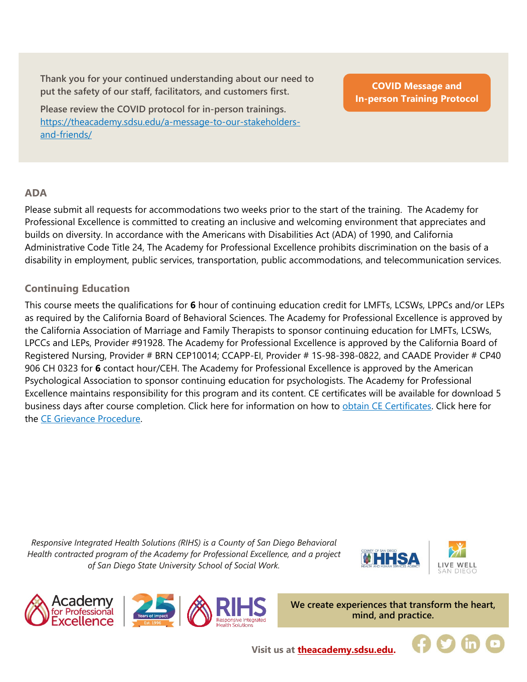**Thank you for your continued understanding about our need to put the safety of our staff, facilitators, and customers first.**

**Please review the COVID protocol for in-person trainings.**  [https://theacademy.sdsu.edu/a-message-to-our-stakeholders](https://theacademy.sdsu.edu/a-message-to-our-stakeholders-and-friends/)[and-friends/](https://theacademy.sdsu.edu/a-message-to-our-stakeholders-and-friends/)

**COVID Message and [In-person Training Protocol](https://theacademy.sdsu.edu/a-message-to-our-stakeholders-and-friends/)**

#### **ADA**

Please submit all requests for accommodations two weeks prior to the start of the training. The Academy for Professional Excellence is committed to creating an inclusive and welcoming environment that appreciates and builds on diversity. In accordance with the Americans with Disabilities Act (ADA) of 1990, and California Administrative Code Title 24, The Academy for Professional Excellence prohibits discrimination on the basis of a disability in employment, public services, transportation, public accommodations, and telecommunication services.

#### **Continuing Education**

This course meets the qualifications for **6** hour of continuing education credit for LMFTs, LCSWs, LPPCs and/or LEPs as required by the California Board of Behavioral Sciences. The Academy for Professional Excellence is approved by the California Association of Marriage and Family Therapists to sponsor continuing education for LMFTs, LCSWs, LPCCs and LEPs, Provider #91928. The Academy for Professional Excellence is approved by the California Board of Registered Nursing, Provider # BRN CEP10014; CCAPP-EI, Provider # 1S-98-398-0822, and CAADE Provider # CP40 906 CH 0323 for **6** contact hour/CEH. The Academy for Professional Excellence is approved by the American Psychological Association to sponsor continuing education for psychologists. The Academy for Professional Excellence maintains responsibility for this program and its content. CE certificates will be available for download 5 business days after course completion. Click here for information on how to [obtain CE Certificates.](https://theacademy.sdsu.edu/programs/rihs/rihs-faq/) Click here for the [CE Grievance Procedure.](https://drive.google.com/file/d/10H4zN0gLatK2hP5SJpe0HTZkZpYm8GRj/view)

*Responsive Integrated Health Solutions (RIHS) is a County of San Diego Behavioral Health contracted program of the Academy for Professional Excellence, and a project of San Diego State University School of Social Work.*





**We create experiences that transform the heart, mind, and practice.**

**Visit us at [theacademy.sdsu.edu.](https://theacademy.sdsu.edu/)**